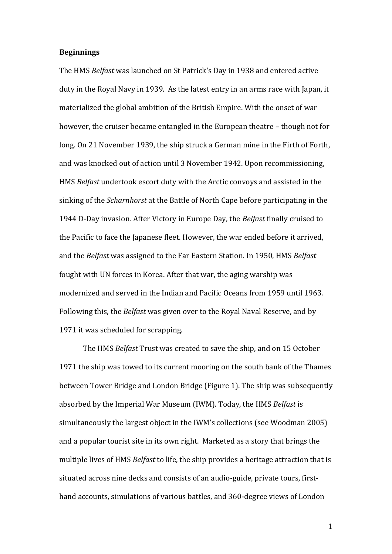### **Beginnings**

The HMS *Belfast* was launched on St Patrick's Day in 1938 and entered active duty in the Royal Navy in 1939. As the latest entry in an arms race with Japan, it materialized the global ambition of the British Empire. With the onset of war however, the cruiser became entangled in the European theatre – though not for long. On 21 November 1939, the ship struck a German mine in the Firth of Forth, and was knocked out of action until 3 November 1942. Upon recommissioning, HMS *Belfast* undertook escort duty with the Arctic convoys and assisted in the sinking of the *Scharnhorst* at the Battle of North Cape before participating in the 1944 D-Day invasion. After Victory in Europe Day, the *Belfast* finally cruised to the Pacific to face the Japanese fleet. However, the war ended before it arrived, and the *Belfast* was assigned to the Far Eastern Station. In 1950, HMS *Belfast* fought with UN forces in Korea. After that war, the aging warship was modernized and served in the Indian and Pacific Oceans from 1959 until 1963. Following this, the *Belfast* was given over to the Royal Naval Reserve, and by 1971 it was scheduled for scrapping.

The HMS *Belfast* Trust was created to save the ship, and on 15 October 1971 the ship was towed to its current mooring on the south bank of the Thames between Tower Bridge and London Bridge (Figure 1). The ship was subsequently absorbed by the Imperial War Museum (IWM). Today, the HMS *Belfast* is simultaneously the largest object in the IWM's collections (see Woodman 2005) and a popular tourist site in its own right. Marketed as a story that brings the multiple lives of HMS *Belfast* to life, the ship provides a heritage attraction that is situated across nine decks and consists of an audio-guide, private tours, firsthand accounts, simulations of various battles, and 360-degree views of London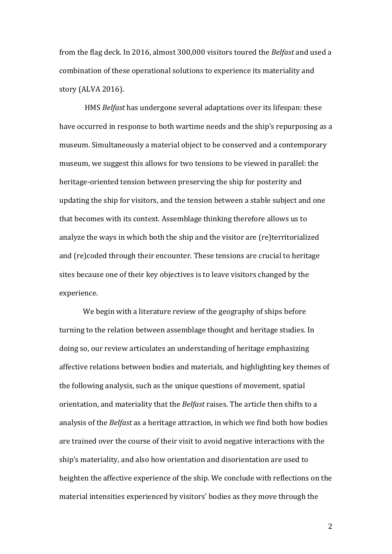from the flag deck. In 2016, almost 300,000 visitors toured the *Belfast* and used a combination of these operational solutions to experience its materiality and story (ALVA 2016).

HMS *Belfast* has undergone several adaptations over its lifespan: these have occurred in response to both wartime needs and the ship's repurposing as a museum. Simultaneously a material object to be conserved and a contemporary museum, we suggest this allows for two tensions to be viewed in parallel: the heritage-oriented tension between preserving the ship for posterity and updating the ship for visitors, and the tension between a stable subject and one that becomes with its context. Assemblage thinking therefore allows us to analyze the ways in which both the ship and the visitor are (re)territorialized and (re)coded through their encounter. These tensions are crucial to heritage sites because one of their key objectives is to leave visitors changed by the experience.

We begin with a literature review of the geography of ships before turning to the relation between assemblage thought and heritage studies. In doing so, our review articulates an understanding of heritage emphasizing affective relations between bodies and materials, and highlighting key themes of the following analysis, such as the unique questions of movement, spatial orientation, and materiality that the *Belfast* raises. The article then shifts to a analysis of the *Belfast* as a heritage attraction, in which we find both how bodies are trained over the course of their visit to avoid negative interactions with the ship's materiality, and also how orientation and disorientation are used to heighten the affective experience of the ship. We conclude with reflections on the material intensities experienced by visitors' bodies as they move through the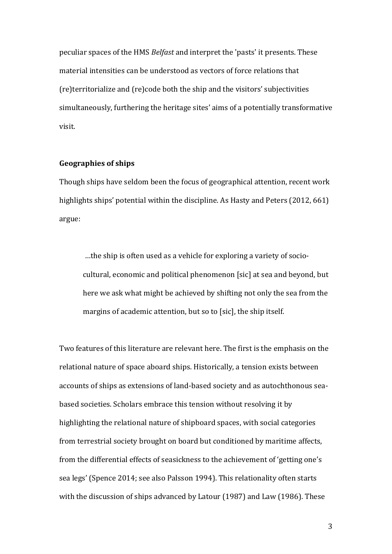peculiar spaces of the HMS *Belfast* and interpret the 'pasts' it presents. These material intensities can be understood as vectors of force relations that (re)territorialize and (re)code both the ship and the visitors' subjectivities simultaneously, furthering the heritage sites' aims of a potentially transformative visit.

# **Geographies of ships**

Though ships have seldom been the focus of geographical attention, recent work highlights ships' potential within the discipline. As Hasty and Peters (2012, 661) argue:

…the ship is often used as a vehicle for exploring a variety of sociocultural, economic and political phenomenon [sic] at sea and beyond, but here we ask what might be achieved by shifting not only the sea from the margins of academic attention, but so to [sic], the ship itself.

Two features of this literature are relevant here. The first is the emphasis on the relational nature of space aboard ships. Historically, a tension exists between accounts of ships as extensions of land-based society and as autochthonous seabased societies. Scholars embrace this tension without resolving it by highlighting the relational nature of shipboard spaces, with social categories from terrestrial society brought on board but conditioned by maritime affects, from the differential effects of seasickness to the achievement of 'getting one's sea legs' (Spence 2014; see also Palsson 1994). This relationality often starts with the discussion of ships advanced by Latour (1987) and Law (1986). These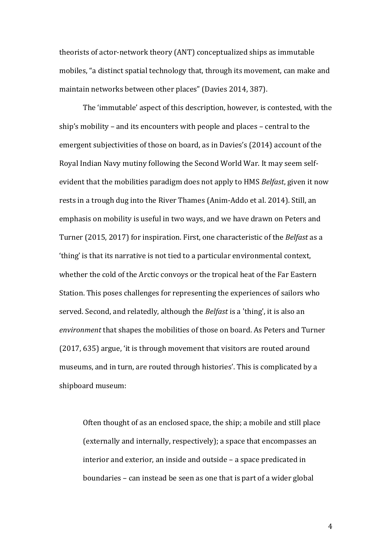theorists of actor-network theory (ANT) conceptualized ships as immutable mobiles, "a distinct spatial technology that, through its movement, can make and maintain networks between other places" (Davies 2014, 387).

The 'immutable' aspect of this description, however, is contested, with the ship's mobility – and its encounters with people and places – central to the emergent subjectivities of those on board, as in Davies's (2014) account of the Royal Indian Navy mutiny following the Second World War. It may seem selfevident that the mobilities paradigm does not apply to HMS *Belfast*, given it now rests in a trough dug into the River Thames (Anim-Addo et al. 2014). Still, an emphasis on mobility is useful in two ways, and we have drawn on Peters and Turner (2015, 2017) for inspiration. First, one characteristic of the *Belfast* as a 'thing' is that its narrative is not tied to a particular environmental context, whether the cold of the Arctic convoys or the tropical heat of the Far Eastern Station. This poses challenges for representing the experiences of sailors who served. Second, and relatedly, although the *Belfast* is a 'thing', it is also an *environment* that shapes the mobilities of those on board. As Peters and Turner (2017, 635) argue, 'it is through movement that visitors are routed around museums, and in turn, are routed through histories'. This is complicated by a shipboard museum:

Often thought of as an enclosed space, the ship; a mobile and still place (externally and internally, respectively); a space that encompasses an interior and exterior, an inside and outside – a space predicated in boundaries – can instead be seen as one that is part of a wider global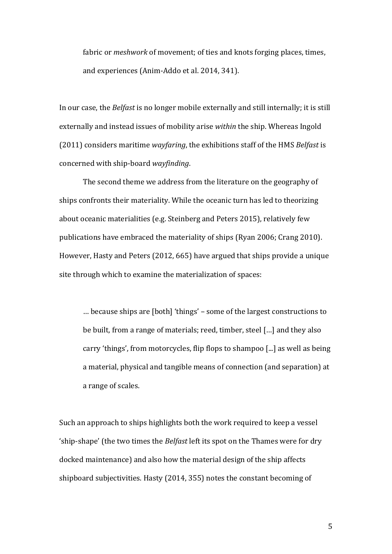fabric or *meshwork* of movement; of ties and knots forging places, times, and experiences (Anim-Addo et al. 2014, 341).

In our case, the *Belfast* is no longer mobile externally and still internally; it is still externally and instead issues of mobility arise *within* the ship. Whereas Ingold (2011) considers maritime *wayfaring*, the exhibitions staff of the HMS *Belfast* is concerned with ship-board *wayfinding*.

The second theme we address from the literature on the geography of ships confronts their materiality. While the oceanic turn has led to theorizing about oceanic materialities (e.g. Steinberg and Peters 2015), relatively few publications have embraced the materiality of ships (Ryan 2006; Crang 2010). However, Hasty and Peters (2012, 665) have argued that ships provide a unique site through which to examine the materialization of spaces:

… because ships are [both] 'things' – some of the largest constructions to be built, from a range of materials; reed, timber, steel […] and they also carry 'things', from motorcycles, flip flops to shampoo [...] as well as being a material, physical and tangible means of connection (and separation) at a range of scales.

Such an approach to ships highlights both the work required to keep a vessel 'ship-shape' (the two times the *Belfast* left its spot on the Thames were for dry docked maintenance) and also how the material design of the ship affects shipboard subjectivities. Hasty (2014, 355) notes the constant becoming of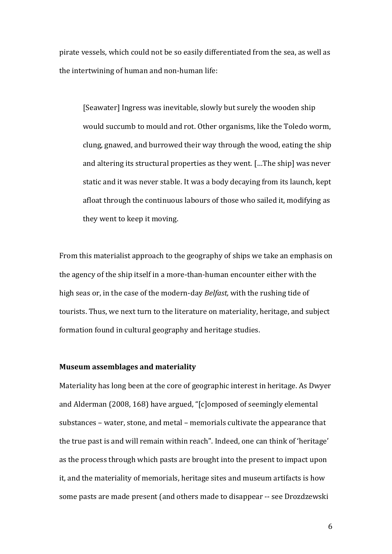pirate vessels, which could not be so easily differentiated from the sea, as well as the intertwining of human and non-human life:

[Seawater] Ingress was inevitable, slowly but surely the wooden ship would succumb to mould and rot. Other organisms, like the Toledo worm, clung, gnawed, and burrowed their way through the wood, eating the ship and altering its structural properties as they went. […The ship] was never static and it was never stable. It was a body decaying from its launch, kept afloat through the continuous labours of those who sailed it, modifying as they went to keep it moving.

From this materialist approach to the geography of ships we take an emphasis on the agency of the ship itself in a more-than-human encounter either with the high seas or, in the case of the modern-day *Belfast,* with the rushing tide of tourists. Thus, we next turn to the literature on materiality, heritage, and subject formation found in cultural geography and heritage studies.

# **Museum assemblages and materiality**

Materiality has long been at the core of geographic interest in heritage. As Dwyer and Alderman (2008, 168) have argued, "[c]omposed of seemingly elemental substances – water, stone, and metal – memorials cultivate the appearance that the true past is and will remain within reach". Indeed, one can think of 'heritage' as the process through which pasts are brought into the present to impact upon it, and the materiality of memorials, heritage sites and museum artifacts is how some pasts are made present (and others made to disappear -- see Drozdzewski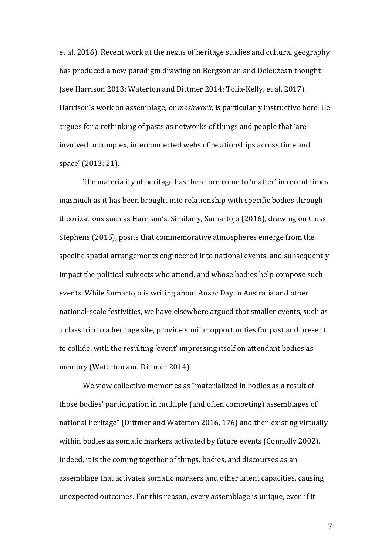et al. 2016). Recent work at the nexus of heritage studies and cultural geography has produced a new paradigm drawing on Bergsonian and Deleuzean thought (see Harrison 2013; Waterton and Dittmer 2014; Tolia-Kelly, et al. 2017). Harrison's work on assemblage, or *meshwork*, is particularly instructive here. He argues for a rethinking of pasts as networks of things and people that 'are involved in complex, interconnected webs of relationships across time and space' (2013: 21).

The materiality of heritage has therefore come to 'matter' in recent times inasmuch as it has been brought into relationship with specific bodies through theorizations such as Harrison's. Similarly, Sumartojo (2016), drawing on Closs Stephens (2015), posits that commemorative atmospheres emerge from the specific spatial arrangements engineered into national events, and subsequently impact the political subjects who attend, and whose bodies help compose such events. While Sumartojo is writing about Anzac Day in Australia and other national-scale festivities, we have elsewhere argued that smaller events, such as a class trip to a heritage site, provide similar opportunities for past and present to collide, with the resulting 'event' impressing itself on attendant bodies as memory (Waterton and Dittmer 2014).

We view collective memories as "materialized in bodies as a result of those bodies' participation in multiple (and often competing) assemblages of national heritage" (Dittmer and Waterton 2016, 176) and then existing virtually within bodies as somatic markers activated by future events (Connolly 2002). Indeed, it is the coming together of things, bodies, and discourses as an assemblage that activates somatic markers and other latent capacities, causing unexpected outcomes. For this reason, every assemblage is unique, even if it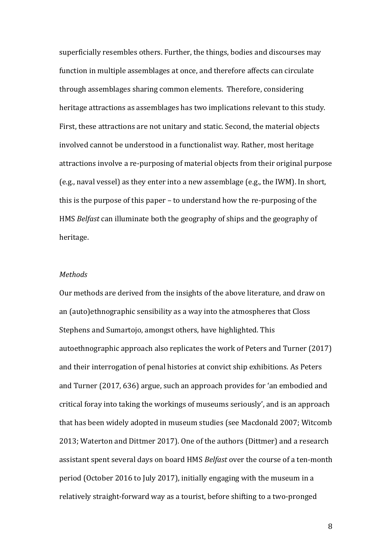superficially resembles others. Further, the things, bodies and discourses may function in multiple assemblages at once, and therefore affects can circulate through assemblages sharing common elements. Therefore, considering heritage attractions as assemblages has two implications relevant to this study. First, these attractions are not unitary and static. Second, the material objects involved cannot be understood in a functionalist way. Rather, most heritage attractions involve a re-purposing of material objects from their original purpose (e.g., naval vessel) as they enter into a new assemblage (e.g., the IWM). In short, this is the purpose of this paper – to understand how the re-purposing of the HMS *Belfast* can illuminate both the geography of ships and the geography of heritage.

### *Methods*

Our methods are derived from the insights of the above literature, and draw on an (auto)ethnographic sensibility as a way into the atmospheres that Closs Stephens and Sumartojo, amongst others, have highlighted. This autoethnographic approach also replicates the work of Peters and Turner (2017) and their interrogation of penal histories at convict ship exhibitions. As Peters and Turner (2017, 636) argue, such an approach provides for 'an embodied and critical foray into taking the workings of museums seriously', and is an approach that has been widely adopted in museum studies (see Macdonald 2007; Witcomb 2013; Waterton and Dittmer 2017). One of the authors (Dittmer) and a research assistant spent several days on board HMS *Belfast* over the course of a ten-month period (October 2016 to July 2017), initially engaging with the museum in a relatively straight-forward way as a tourist, before shifting to a two-pronged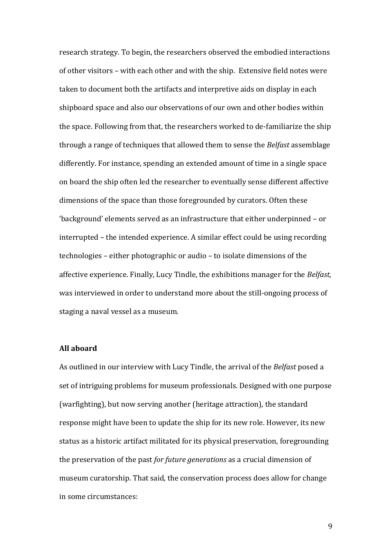research strategy. To begin, the researchers observed the embodied interactions of other visitors – with each other and with the ship. Extensive field notes were taken to document both the artifacts and interpretive aids on display in each shipboard space and also our observations of our own and other bodies within the space. Following from that, the researchers worked to de-familiarize the ship through a range of techniques that allowed them to sense the *Belfast* assemblage differently. For instance, spending an extended amount of time in a single space on board the ship often led the researcher to eventually sense different affective dimensions of the space than those foregrounded by curators. Often these 'background' elements served as an infrastructure that either underpinned – or interrupted – the intended experience. A similar effect could be using recording technologies – either photographic or audio – to isolate dimensions of the affective experience. Finally, Lucy Tindle, the exhibitions manager for the *Belfast,* was interviewed in order to understand more about the still-ongoing process of staging a naval vessel as a museum.

# **All aboard**

As outlined in our interview with Lucy Tindle, the arrival of the *Belfast* posed a set of intriguing problems for museum professionals. Designed with one purpose (warfighting), but now serving another (heritage attraction), the standard response might have been to update the ship for its new role. However, its new status as a historic artifact militated for its physical preservation, foregrounding the preservation of the past *for future generations* as a crucial dimension of museum curatorship. That said, the conservation process does allow for change in some circumstances: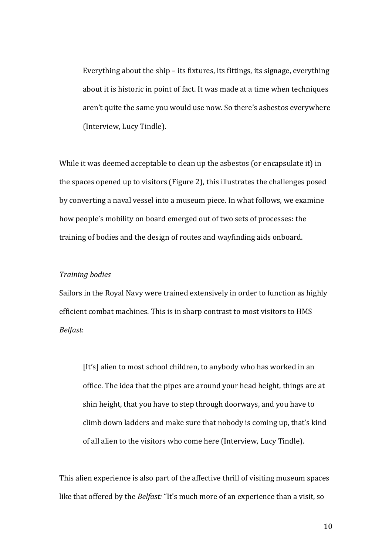Everything about the ship – its fixtures, its fittings, its signage, everything about it is historic in point of fact. It was made at a time when techniques aren't quite the same you would use now. So there's asbestos everywhere (Interview, Lucy Tindle).

While it was deemed acceptable to clean up the asbestos (or encapsulate it) in the spaces opened up to visitors (Figure 2), this illustrates the challenges posed by converting a naval vessel into a museum piece. In what follows, we examine how people's mobility on board emerged out of two sets of processes: the training of bodies and the design of routes and wayfinding aids onboard.

### *Training bodies*

Sailors in the Royal Navy were trained extensively in order to function as highly efficient combat machines. This is in sharp contrast to most visitors to HMS *Belfast*:

[It's] alien to most school children, to anybody who has worked in an office. The idea that the pipes are around your head height, things are at shin height, that you have to step through doorways, and you have to climb down ladders and make sure that nobody is coming up, that's kind of all alien to the visitors who come here (Interview, Lucy Tindle).

This alien experience is also part of the affective thrill of visiting museum spaces like that offered by the *Belfast:* "It's much more of an experience than a visit, so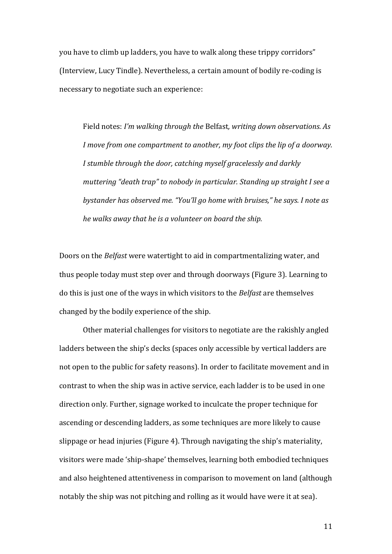you have to climb up ladders, you have to walk along these trippy corridors" (Interview, Lucy Tindle). Nevertheless, a certain amount of bodily re-coding is necessary to negotiate such an experience:

Field notes: *I'm walking through the* Belfast*, writing down observations. As I move from one compartment to another, my foot clips the lip of a doorway. I stumble through the door, catching myself gracelessly and darkly muttering "death trap" to nobody in particular. Standing up straight I see a bystander has observed me. "You'll go home with bruises," he says. I note as he walks away that he is a volunteer on board the ship.*

Doors on the *Belfast* were watertight to aid in compartmentalizing water, and thus people today must step over and through doorways (Figure 3). Learning to do this is just one of the ways in which visitors to the *Belfast* are themselves changed by the bodily experience of the ship.

Other material challenges for visitors to negotiate are the rakishly angled ladders between the ship's decks (spaces only accessible by vertical ladders are not open to the public for safety reasons). In order to facilitate movement and in contrast to when the ship was in active service, each ladder is to be used in one direction only. Further, signage worked to inculcate the proper technique for ascending or descending ladders, as some techniques are more likely to cause slippage or head injuries (Figure 4). Through navigating the ship's materiality, visitors were made 'ship-shape' themselves, learning both embodied techniques and also heightened attentiveness in comparison to movement on land (although notably the ship was not pitching and rolling as it would have were it at sea).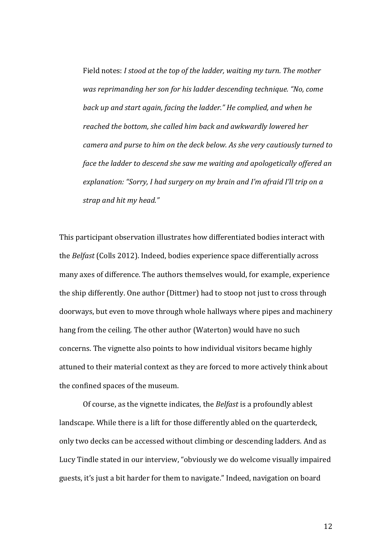Field notes: *I stood at the top of the ladder, waiting my turn. The mother was reprimanding her son for his ladder descending technique. "No, come back up and start again, facing the ladder." He complied, and when he reached the bottom, she called him back and awkwardly lowered her camera and purse to him on the deck below. As she very cautiously turned to face the ladder to descend she saw me waiting and apologetically offered an explanation: "Sorry, I had surgery on my brain and I'm afraid I'll trip on a strap and hit my head."*

This participant observation illustrates how differentiated bodies interact with the *Belfast* (Colls 2012). Indeed, bodies experience space differentially across many axes of difference. The authors themselves would, for example, experience the ship differently. One author (Dittmer) had to stoop not just to cross through doorways, but even to move through whole hallways where pipes and machinery hang from the ceiling. The other author (Waterton) would have no such concerns. The vignette also points to how individual visitors became highly attuned to their material context as they are forced to more actively think about the confined spaces of the museum.

Of course, as the vignette indicates, the *Belfast* is a profoundly ablest landscape. While there is a lift for those differently abled on the quarterdeck, only two decks can be accessed without climbing or descending ladders. And as Lucy Tindle stated in our interview, "obviously we do welcome visually impaired guests, it's just a bit harder for them to navigate." Indeed, navigation on board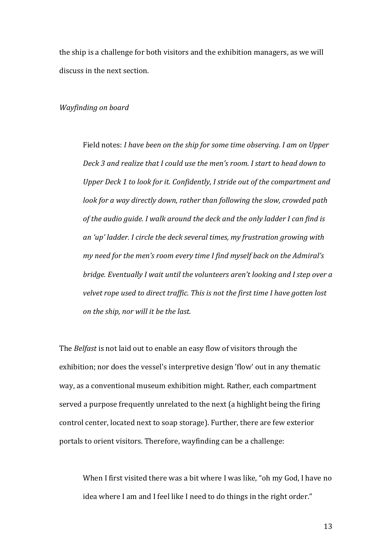the ship is a challenge for both visitors and the exhibition managers, as we will discuss in the next section.

# *Wayfinding on board*

Field notes: *I have been on the ship for some time observing. I am on Upper Deck 3 and realize that I could use the men's room. I start to head down to Upper Deck 1 to look for it. Confidently, I stride out of the compartment and look for a way directly down, rather than following the slow, crowded path of the audio guide. I walk around the deck and the only ladder I can find is an 'up' ladder. I circle the deck several times, my frustration growing with my need for the men's room every time I find myself back on the Admiral's bridge. Eventually I wait until the volunteers aren't looking and I step over a velvet rope used to direct traffic. This is not the first time I have gotten lost on the ship, nor will it be the last.*

The *Belfast* is not laid out to enable an easy flow of visitors through the exhibition; nor does the vessel's interpretive design 'flow' out in any thematic way, as a conventional museum exhibition might. Rather, each compartment served a purpose frequently unrelated to the next (a highlight being the firing control center, located next to soap storage). Further, there are few exterior portals to orient visitors. Therefore, wayfinding can be a challenge:

When I first visited there was a bit where I was like, "oh my God, I have no idea where I am and I feel like I need to do things in the right order."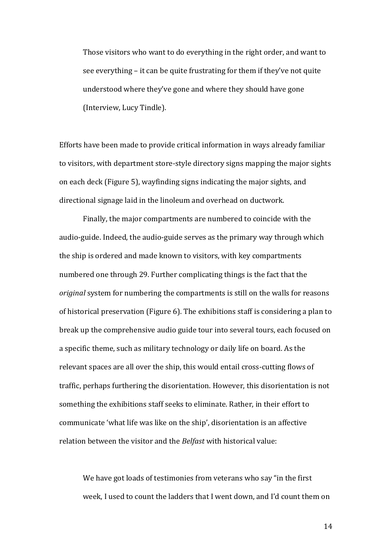Those visitors who want to do everything in the right order, and want to see everything – it can be quite frustrating for them if they've not quite understood where they've gone and where they should have gone (Interview, Lucy Tindle).

Efforts have been made to provide critical information in ways already familiar to visitors, with department store-style directory signs mapping the major sights on each deck (Figure 5), wayfinding signs indicating the major sights, and directional signage laid in the linoleum and overhead on ductwork.

Finally, the major compartments are numbered to coincide with the audio-guide. Indeed, the audio-guide serves as the primary way through which the ship is ordered and made known to visitors, with key compartments numbered one through 29. Further complicating things is the fact that the *original* system for numbering the compartments is still on the walls for reasons of historical preservation (Figure 6). The exhibitions staff is considering a plan to break up the comprehensive audio guide tour into several tours, each focused on a specific theme, such as military technology or daily life on board. As the relevant spaces are all over the ship, this would entail cross-cutting flows of traffic, perhaps furthering the disorientation. However, this disorientation is not something the exhibitions staff seeks to eliminate. Rather, in their effort to communicate 'what life was like on the ship', disorientation is an affective relation between the visitor and the *Belfast* with historical value:

We have got loads of testimonies from veterans who say "in the first week, I used to count the ladders that I went down, and I'd count them on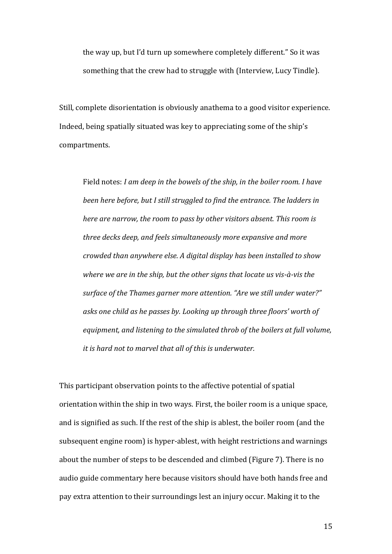the way up, but I'd turn up somewhere completely different." So it was something that the crew had to struggle with (Interview, Lucy Tindle).

Still, complete disorientation is obviously anathema to a good visitor experience. Indeed, being spatially situated was key to appreciating some of the ship's compartments.

Field notes: *I am deep in the bowels of the ship, in the boiler room. I have been here before, but I still struggled to find the entrance. The ladders in here are narrow, the room to pass by other visitors absent. This room is three decks deep, and feels simultaneously more expansive and more crowded than anywhere else. A digital display has been installed to show where we are in the ship, but the other signs that locate us vis-à-vis the surface of the Thames garner more attention. "Are we still under water?" asks one child as he passes by. Looking up through three floors' worth of equipment, and listening to the simulated throb of the boilers at full volume, it is hard not to marvel that all of this is underwater.*

This participant observation points to the affective potential of spatial orientation within the ship in two ways. First, the boiler room is a unique space, and is signified as such. If the rest of the ship is ablest, the boiler room (and the subsequent engine room) is hyper-ablest, with height restrictions and warnings about the number of steps to be descended and climbed (Figure 7). There is no audio guide commentary here because visitors should have both hands free and pay extra attention to their surroundings lest an injury occur. Making it to the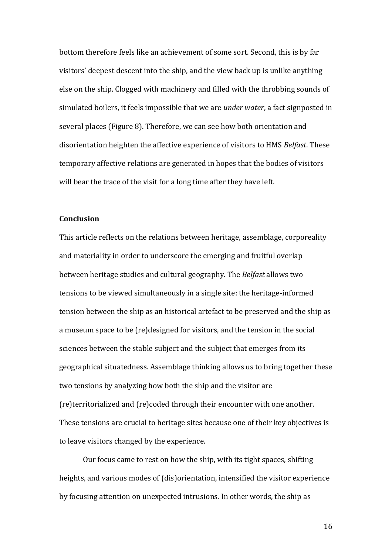bottom therefore feels like an achievement of some sort. Second, this is by far visitors' deepest descent into the ship, and the view back up is unlike anything else on the ship. Clogged with machinery and filled with the throbbing sounds of simulated boilers, it feels impossible that we are *under water*, a fact signposted in several places (Figure 8). Therefore, we can see how both orientation and disorientation heighten the affective experience of visitors to HMS *Belfast*. These temporary affective relations are generated in hopes that the bodies of visitors will bear the trace of the visit for a long time after they have left.

### **Conclusion**

This article reflects on the relations between heritage, assemblage, corporeality and materiality in order to underscore the emerging and fruitful overlap between heritage studies and cultural geography. The *Belfast* allows two tensions to be viewed simultaneously in a single site: the heritage-informed tension between the ship as an historical artefact to be preserved and the ship as a museum space to be (re)designed for visitors, and the tension in the social sciences between the stable subject and the subject that emerges from its geographical situatedness. Assemblage thinking allows us to bring together these two tensions by analyzing how both the ship and the visitor are (re)territorialized and (re)coded through their encounter with one another. These tensions are crucial to heritage sites because one of their key objectives is to leave visitors changed by the experience.

Our focus came to rest on how the ship, with its tight spaces, shifting heights, and various modes of (dis)orientation, intensified the visitor experience by focusing attention on unexpected intrusions. In other words, the ship as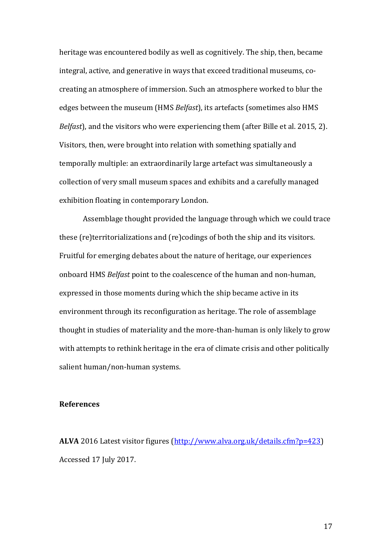heritage was encountered bodily as well as cognitively. The ship, then, became integral, active, and generative in ways that exceed traditional museums, cocreating an atmosphere of immersion. Such an atmosphere worked to blur the edges between the museum (HMS *Belfast*), its artefacts (sometimes also HMS *Belfast*), and the visitors who were experiencing them (after Bille et al. 2015, 2). Visitors, then, were brought into relation with something spatially and temporally multiple: an extraordinarily large artefact was simultaneously a collection of very small museum spaces and exhibits and a carefully managed exhibition floating in contemporary London.

Assemblage thought provided the language through which we could trace these (re)territorializations and (re)codings of both the ship and its visitors. Fruitful for emerging debates about the nature of heritage, our experiences onboard HMS *Belfast* point to the coalescence of the human and non-human, expressed in those moments during which the ship became active in its environment through its reconfiguration as heritage. The role of assemblage thought in studies of materiality and the more-than-human is only likely to grow with attempts to rethink heritage in the era of climate crisis and other politically salient human/non-human systems.

### **References**

**ALVA** 2016 Latest visitor figures [\(http://www.alva.org.uk/details.cfm?p=423\)](http://www.alva.org.uk/details.cfm?p=423) Accessed 17 July 2017.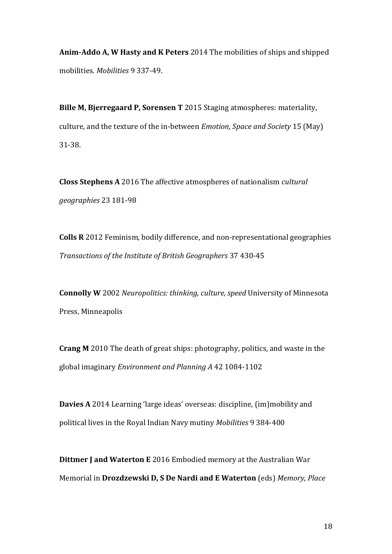**Anim-Addo A, W Hasty and K Peters** 2014 The mobilities of ships and shipped mobilities. *Mobilities* 9 337-49.

**Bille M, Bjerregaard P, Sorensen T** 2015 Staging atmospheres: materiality, culture, and the texture of the in-between *Emotion, Space and Society* 15 (May) 31-38.

**Closs Stephens A** 2016 The affective atmospheres of nationalism *cultural geographies* 23 181-98

**Colls R** 2012 Feminism, bodily difference, and non-representational geographies *Transactions of the Institute of British Geographers* 37 430-45

**Connolly W** 2002 *Neuropolitics: thinking, culture, speed* University of Minnesota Press, Minneapolis

**Crang M** 2010 The death of great ships: photography, politics, and waste in the global imaginary *Environment and Planning A* 42 1084-1102

**Davies A** 2014 Learning 'large ideas' overseas: discipline, (im)mobility and political lives in the Royal Indian Navy mutiny *Mobilities* 9 384-400

**Dittmer J and Waterton E** 2016 Embodied memory at the Australian War Memorial in **Drozdzewski D, S De Nardi and E Waterton** (eds) *Memory, Place*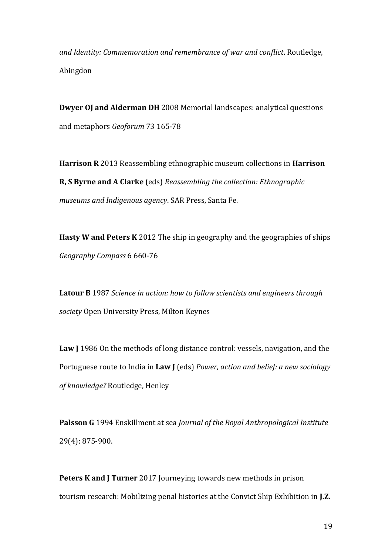*and Identity: Commemoration and remembrance of war and conflict*. Routledge, Abingdon

**Dwyer OJ and Alderman DH** 2008 Memorial landscapes: analytical questions and metaphors *Geoforum* 73 165-78

**Harrison R** 2013 Reassembling ethnographic museum collections in **Harrison R, S Byrne and A Clarke** (eds) *Reassembling the collection: Ethnographic museums and Indigenous agency*. SAR Press, Santa Fe.

**Hasty W and Peters K** 2012 The ship in geography and the geographies of ships *Geography Compass* 6 660-76

**Latour B** 1987 *Science in action: how to follow scientists and engineers through society* Open University Press, Milton Keynes

**Law J** 1986 On the methods of long distance control: vessels, navigation, and the Portuguese route to India in **Law J** (eds) *Power, action and belief: a new sociology of knowledge?* Routledge, Henley

**Palsson G** 1994 Enskillment at sea *Journal of the Royal Anthropological Institute* 29(4): 875-900.

**Peters K and J Turner** 2017 Journeying towards new methods in prison tourism research: Mobilizing penal histories at the Convict Ship Exhibition in **J.Z.**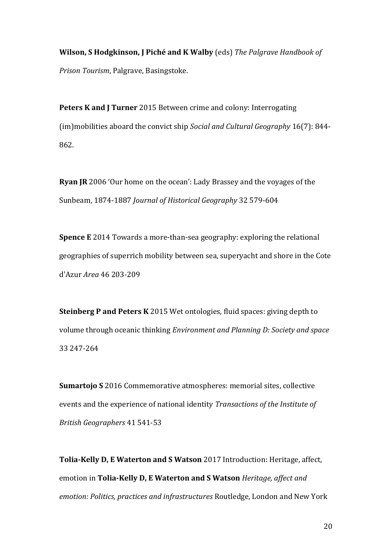**Wilson, S Hodgkinson, J Piché and K Walby** (eds) *The Palgrave Handbook of Prison Tourism*, Palgrave, Basingstoke.

**Peters K and J Turner** 2015 Between crime and colony: Interrogating (im)mobilities aboard the convict ship *Social and Cultural Geography* 16(7): 844- 862.

**Ryan JR** 2006 'Our home on the ocean': Lady Brassey and the voyages of the Sunbeam, 1874-1887 *Journal of Historical Geography* 32 579-604

**Spence E** 2014 Towards a more-than-sea geography: exploring the relational geographies of superrich mobility between sea, superyacht and shore in the Cote d'Azur *Area* 46 203-209

**Steinberg P and Peters K** 2015 Wet ontologies, fluid spaces: giving depth to volume through oceanic thinking *Environment and Planning D: Society and space* 33 247-264

**Sumartojo S** 2016 Commemorative atmospheres: memorial sites, collective events and the experience of national identity *Transactions of the Institute of British Geographers* 41 541-53

**Tolia-Kelly D, E Waterton and S Watson** 2017 Introduction: Heritage, affect, emotion in **Tolia-Kelly D, E Waterton and S Watson** *Heritage, affect and emotion: Politics, practices and infrastructures* Routledge, London and New York